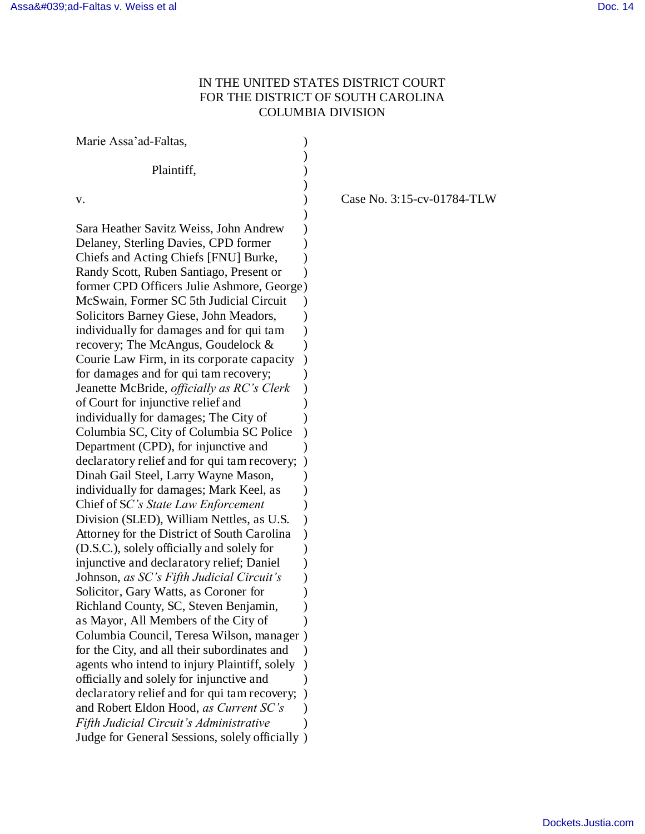## IN THE UNITED STATES DISTRICT COURT FOR THE DISTRICT OF SOUTH CAROLINA COLUMBIA DIVISION

| Marie Assa'ad-Faltas,                                                                                                                                                                                                                                                                                                                                                                                                                                                                                                                                                                                                                                                                                                                                                                                                                                                                                                                                                                                                                                                                                                                                                                                                                                                                                                                                                                                                                                                                                                             |                            |
|-----------------------------------------------------------------------------------------------------------------------------------------------------------------------------------------------------------------------------------------------------------------------------------------------------------------------------------------------------------------------------------------------------------------------------------------------------------------------------------------------------------------------------------------------------------------------------------------------------------------------------------------------------------------------------------------------------------------------------------------------------------------------------------------------------------------------------------------------------------------------------------------------------------------------------------------------------------------------------------------------------------------------------------------------------------------------------------------------------------------------------------------------------------------------------------------------------------------------------------------------------------------------------------------------------------------------------------------------------------------------------------------------------------------------------------------------------------------------------------------------------------------------------------|----------------------------|
| Plaintiff,                                                                                                                                                                                                                                                                                                                                                                                                                                                                                                                                                                                                                                                                                                                                                                                                                                                                                                                                                                                                                                                                                                                                                                                                                                                                                                                                                                                                                                                                                                                        |                            |
| v.                                                                                                                                                                                                                                                                                                                                                                                                                                                                                                                                                                                                                                                                                                                                                                                                                                                                                                                                                                                                                                                                                                                                                                                                                                                                                                                                                                                                                                                                                                                                | Case No. 3:15-cv-01784-TLW |
| Sara Heather Savitz Weiss, John Andrew<br>Delaney, Sterling Davies, CPD former<br>Chiefs and Acting Chiefs [FNU] Burke,<br>Randy Scott, Ruben Santiago, Present or<br>former CPD Officers Julie Ashmore, George)<br>McSwain, Former SC 5th Judicial Circuit<br>Solicitors Barney Giese, John Meadors,<br>individually for damages and for qui tam<br>recovery; The McAngus, Goudelock &<br>Courie Law Firm, in its corporate capacity<br>for damages and for qui tam recovery;<br>Jeanette McBride, <i>officially as RC's Clerk</i><br>of Court for injunctive relief and<br>individually for damages; The City of<br>Columbia SC, City of Columbia SC Police<br>Department (CPD), for injunctive and<br>declaratory relief and for qui tam recovery;<br>Dinah Gail Steel, Larry Wayne Mason,<br>individually for damages; Mark Keel, as<br>Chief of SC's State Law Enforcement<br>Division (SLED), William Nettles, as U.S.<br>Attorney for the District of South Carolina<br>(D.S.C.), solely officially and solely for<br>injunctive and declaratory relief; Daniel<br>Johnson, as SC's Fifth Judicial Circuit's<br>Solicitor, Gary Watts, as Coroner for<br>Richland County, SC, Steven Benjamin,<br>as Mayor, All Members of the City of<br>Columbia Council, Teresa Wilson, manager)<br>for the City, and all their subordinates and<br>agents who intend to injury Plaintiff, solely<br>officially and solely for injunctive and<br>declaratory relief and for qui tam recovery;<br>and Robert Eldon Hood, as Current SC's |                            |
| Fifth Judicial Circuit's Administrative<br>Judge for General Sessions, solely officially)                                                                                                                                                                                                                                                                                                                                                                                                                                                                                                                                                                                                                                                                                                                                                                                                                                                                                                                                                                                                                                                                                                                                                                                                                                                                                                                                                                                                                                         |                            |
|                                                                                                                                                                                                                                                                                                                                                                                                                                                                                                                                                                                                                                                                                                                                                                                                                                                                                                                                                                                                                                                                                                                                                                                                                                                                                                                                                                                                                                                                                                                                   |                            |